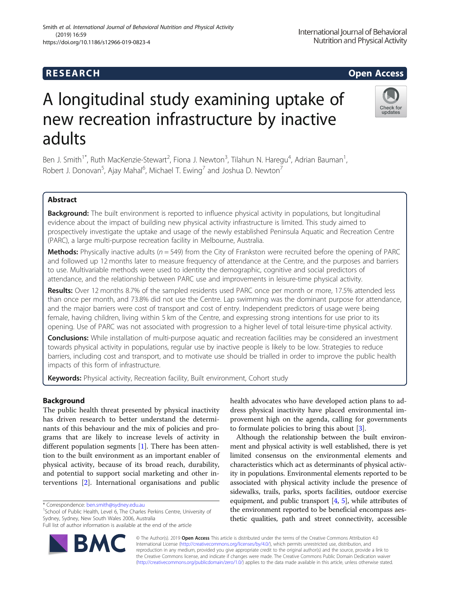## **RESEARCH CHILD CONTROL** CONTROL CONTROL CONTROL CONTROL CONTROL CONTROL CONTROL CONTROL CONTROL CONTROL CONTROL CONTROL CONTROL CONTROL CONTROL CONTROL CONTROL CONTROL CONTROL CONTROL CONTROL CONTROL CONTROL CONTROL CONTR

# A longitudinal study examining uptake of new recreation infrastructure by inactive adults

Ben J. Smith<sup>1\*</sup>, Ruth MacKenzie-Stewart<sup>2</sup>, Fiona J. Newton<sup>3</sup>, Tilahun N. Haregu<sup>4</sup>, Adrian Bauman<sup>1</sup> , Robert J. Donovan<sup>5</sup>, Ajay Mahal<sup>6</sup>, Michael T. Ewing<sup>7</sup> and Joshua D. Newton<sup>7</sup>

## Abstract

Background: The built environment is reported to influence physical activity in populations, but longitudinal evidence about the impact of building new physical activity infrastructure is limited. This study aimed to prospectively investigate the uptake and usage of the newly established Peninsula Aquatic and Recreation Centre (PARC), a large multi-purpose recreation facility in Melbourne, Australia.

**Methods:** Physically inactive adults ( $n = 549$ ) from the City of Frankston were recruited before the opening of PARC and followed up 12 months later to measure frequency of attendance at the Centre, and the purposes and barriers to use. Multivariable methods were used to identity the demographic, cognitive and social predictors of attendance, and the relationship between PARC use and improvements in leisure-time physical activity.

Results: Over 12 months 8.7% of the sampled residents used PARC once per month or more, 17.5% attended less than once per month, and 73.8% did not use the Centre. Lap swimming was the dominant purpose for attendance, and the major barriers were cost of transport and cost of entry. Independent predictors of usage were being female, having children, living within 5 km of the Centre, and expressing strong intentions for use prior to its opening. Use of PARC was not associated with progression to a higher level of total leisure-time physical activity.

**Conclusions:** While installation of multi-purpose aquatic and recreation facilities may be considered an investment towards physical activity in populations, regular use by inactive people is likely to be low. Strategies to reduce barriers, including cost and transport, and to motivate use should be trialled in order to improve the public health impacts of this form of infrastructure.

Keywords: Physical activity, Recreation facility, Built environment, Cohort study

## Background

The public health threat presented by physical inactivity has driven research to better understand the determinants of this behaviour and the mix of policies and programs that are likely to increase levels of activity in different population segments [\[1\]](#page-8-0). There has been attention to the built environment as an important enabler of physical activity, because of its broad reach, durability, and potential to support social marketing and other interventions [\[2](#page-8-0)]. International organisations and public

\* Correspondence: [ben.smith@sydney.edu.au](mailto:ben.smith@sydney.edu.au) <sup>1</sup>

RA

<sup>1</sup>School of Public Health, Level 6, The Charles Perkins Centre, University of Sydney, Sydney, New South Wales 2006, Australia

© The Author(s). 2019 **Open Access** This article is distributed under the terms of the Creative Commons Attribution 4.0 International License [\(http://creativecommons.org/licenses/by/4.0/](http://creativecommons.org/licenses/by/4.0/)), which permits unrestricted use, distribution, and reproduction in any medium, provided you give appropriate credit to the original author(s) and the source, provide a link to the Creative Commons license, and indicate if changes were made. The Creative Commons Public Domain Dedication waiver [\(http://creativecommons.org/publicdomain/zero/1.0/](http://creativecommons.org/publicdomain/zero/1.0/)) applies to the data made available in this article, unless otherwise stated.

health advocates who have developed action plans to address physical inactivity have placed environmental improvement high on the agenda, calling for governments to formulate policies to bring this about [[3\]](#page-8-0).

Although the relationship between the built environment and physical activity is well established, there is yet limited consensus on the environmental elements and characteristics which act as determinants of physical activity in populations. Environmental elements reported to be associated with physical activity include the presence of sidewalks, trails, parks, sports facilities, outdoor exercise equipment, and public transport  $[4, 5]$  $[4, 5]$  $[4, 5]$ , while attributes of the environment reported to be beneficial encompass aesthetic qualities, path and street connectivity, accessible





Full list of author information is available at the end of the article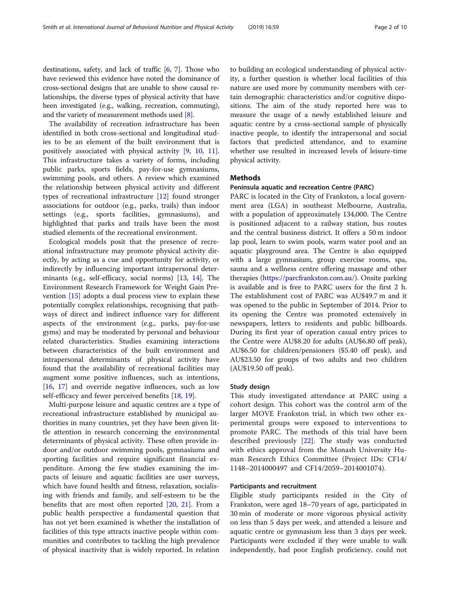destinations, safety, and lack of traffic [\[6,](#page-8-0) [7\]](#page-8-0). Those who have reviewed this evidence have noted the dominance of cross-sectional designs that are unable to show causal relationships, the diverse types of physical activity that have been investigated (e.g., walking, recreation, commuting), and the variety of measurement methods used  $[8]$  $[8]$ .

The availability of recreation infrastructure has been identified in both cross-sectional and longitudinal studies to be an element of the built environment that is positively associated with physical activity [[9,](#page-8-0) [10,](#page-8-0) [11](#page-8-0)]. This infrastructure takes a variety of forms, including public parks, sports fields, pay-for-use gymnasiums, swimming pools, and others. A review which examined the relationship between physical activity and different types of recreational infrastructure [[12\]](#page-8-0) found stronger associations for outdoor (e.g., parks, trails) than indoor settings (e.g., sports facilities, gymnasiums), and highlighted that parks and trails have been the most studied elements of the recreational environment.

Ecological models posit that the presence of recreational infrastructure may promote physical activity directly, by acting as a cue and opportunity for activity, or indirectly by influencing important intrapersonal determinants (e.g., self-efficacy, social norms) [[13](#page-8-0), [14](#page-8-0)]. The Environment Research Framework for Weight Gain Prevention [[15\]](#page-8-0) adopts a dual process view to explain these potentially complex relationships, recognising that pathways of direct and indirect influence vary for different aspects of the environment (e.g., parks, pay-for-use gyms) and may be moderated by personal and behaviour related characteristics. Studies examining interactions between characteristics of the built environment and intrapersonal determinants of physical activity have found that the availability of recreational facilities may augment some positive influences, such as intentions, [[16,](#page-8-0) [17](#page-8-0)] and override negative influences, such as low self-efficacy and fewer perceived benefits [[18,](#page-8-0) [19](#page-8-0)].

Multi-purpose leisure and aquatic centres are a type of recreational infrastructure established by municipal authorities in many countries, yet they have been given little attention in research concerning the environmental determinants of physical activity. These often provide indoor and/or outdoor swimming pools, gymnasiums and sporting facilities and require significant financial expenditure. Among the few studies examining the impacts of leisure and aquatic facilities are user surveys, which have found health and fitness, relaxation, socialising with friends and family, and self-esteem to be the benefits that are most often reported [\[20](#page-8-0), [21\]](#page-8-0). From a public health perspective a fundamental question that has not yet been examined is whether the installation of facilities of this type attracts inactive people within communities and contributes to tackling the high prevalence of physical inactivity that is widely reported. In relation

to building an ecological understanding of physical activity, a further question is whether local facilities of this nature are used more by community members with certain demographic characteristics and/or cognitive dispositions. The aim of the study reported here was to measure the usage of a newly established leisure and aquatic centre by a cross-sectional sample of physically inactive people, to identify the intrapersonal and social factors that predicted attendance, and to examine whether use resulted in increased levels of leisure-time physical activity.

#### Methods

#### Peninsula aquatic and recreation Centre (PARC)

PARC is located in the City of Frankston, a local government area (LGA) in southeast Melbourne, Australia, with a population of approximately 134,000. The Centre is positioned adjacent to a railway station, bus routes and the central business district. It offers a 50 m indoor lap pool, learn to swim pools, warm water pool and an aquatic playground area. The Centre is also equipped with a large gymnasium, group exercise rooms, spa, sauna and a wellness centre offering massage and other therapies ([https://parcfrankston.com.au/\)](https://parcfrankston.com.au/). Onsite parking is available and is free to PARC users for the first 2 h. The establishment cost of PARC was AU\$49.7 m and it was opened to the public in September of 2014. Prior to its opening the Centre was promoted extensively in newspapers, letters to residents and public billboards. During its first year of operation casual entry prices to the Centre were AU\$8.20 for adults (AU\$6.80 off peak), AU\$6.50 for children/pensioners (\$5.40 off peak), and AU\$23.50 for groups of two adults and two children (AU\$19.50 off peak).

#### Study design

This study investigated attendance at PARC using a cohort design. This cohort was the control arm of the larger MOVE Frankston trial, in which two other experimental groups were exposed to interventions to promote PARC. The methods of this trial have been described previously [[22\]](#page-8-0). The study was conducted with ethics approval from the Monash University Human Research Ethics Committee (Project IDs: CF14/ 1148–2014000497 and CF14/2059–2014001074).

#### Participants and recruitment

Eligible study participants resided in the City of Frankston, were aged 18–70 years of age, participated in 30 min of moderate or more vigorous physical activity on less than 5 days per week, and attended a leisure and aquatic centre or gymnasium less than 3 days per week. Participants were excluded if they were unable to walk independently, had poor English proficiency, could not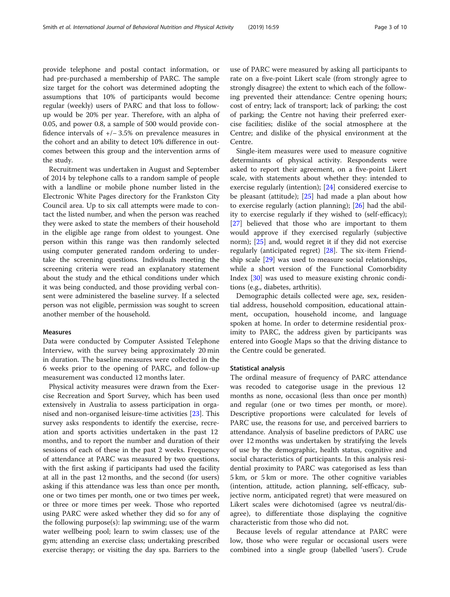provide telephone and postal contact information, or had pre-purchased a membership of PARC. The sample size target for the cohort was determined adopting the assumptions that 10% of participants would become regular (weekly) users of PARC and that loss to followup would be 20% per year. Therefore, with an alpha of 0.05, and power 0.8, a sample of 500 would provide confidence intervals of +/− 3.5% on prevalence measures in the cohort and an ability to detect 10% difference in outcomes between this group and the intervention arms of the study.

Recruitment was undertaken in August and September of 2014 by telephone calls to a random sample of people with a landline or mobile phone number listed in the Electronic White Pages directory for the Frankston City Council area. Up to six call attempts were made to contact the listed number, and when the person was reached they were asked to state the members of their household in the eligible age range from oldest to youngest. One person within this range was then randomly selected using computer generated random ordering to undertake the screening questions. Individuals meeting the screening criteria were read an explanatory statement about the study and the ethical conditions under which it was being conducted, and those providing verbal consent were administered the baseline survey. If a selected person was not eligible, permission was sought to screen another member of the household.

#### Measures

Data were conducted by Computer Assisted Telephone Interview, with the survey being approximately 20 min in duration. The baseline measures were collected in the 6 weeks prior to the opening of PARC, and follow-up measurement was conducted 12 months later.

Physical activity measures were drawn from the Exercise Recreation and Sport Survey, which has been used extensively in Australia to assess participation in organised and non-organised leisure-time activities [\[23](#page-8-0)]. This survey asks respondents to identify the exercise, recreation and sports activities undertaken in the past 12 months, and to report the number and duration of their sessions of each of these in the past 2 weeks. Frequency of attendance at PARC was measured by two questions, with the first asking if participants had used the facility at all in the past 12 months, and the second (for users) asking if this attendance was less than once per month, one or two times per month, one or two times per week, or three or more times per week. Those who reported using PARC were asked whether they did so for any of the following purpose(s): lap swimming; use of the warm water wellbeing pool; learn to swim classes; use of the gym; attending an exercise class; undertaking prescribed exercise therapy; or visiting the day spa. Barriers to the

use of PARC were measured by asking all participants to rate on a five-point Likert scale (from strongly agree to strongly disagree) the extent to which each of the following prevented their attendance: Centre opening hours; cost of entry; lack of transport; lack of parking; the cost of parking; the Centre not having their preferred exercise facilities; dislike of the social atmosphere at the Centre; and dislike of the physical environment at the Centre.

Single-item measures were used to measure cognitive determinants of physical activity. Respondents were asked to report their agreement, on a five-point Likert scale, with statements about whether they: intended to exercise regularly (intention); [\[24](#page-8-0)] considered exercise to be pleasant (attitude); [[25](#page-8-0)] had made a plan about how to exercise regularly (action planning); [[26\]](#page-8-0) had the ability to exercise regularly if they wished to (self-efficacy); [[27\]](#page-8-0) believed that those who are important to them would approve if they exercised regularly (subjective norm); [\[25](#page-8-0)] and, would regret it if they did not exercise regularly (anticipated regret) [[28](#page-8-0)]. The six-item Friendship scale [\[29](#page-8-0)] was used to measure social relationships, while a short version of the Functional Comorbidity Index [[30\]](#page-8-0) was used to measure existing chronic conditions (e.g., diabetes, arthritis).

Demographic details collected were age, sex, residential address, household composition, educational attainment, occupation, household income, and language spoken at home. In order to determine residential proximity to PARC, the address given by participants was entered into Google Maps so that the driving distance to the Centre could be generated.

#### Statistical analysis

The ordinal measure of frequency of PARC attendance was recoded to categorise usage in the previous 12 months as none, occasional (less than once per month) and regular (one or two times per month, or more). Descriptive proportions were calculated for levels of PARC use, the reasons for use, and perceived barriers to attendance. Analysis of baseline predictors of PARC use over 12 months was undertaken by stratifying the levels of use by the demographic, health status, cognitive and social characteristics of participants. In this analysis residential proximity to PARC was categorised as less than 5 km, or 5 km or more. The other cognitive variables (intention, attitude, action planning, self-efficacy, subjective norm, anticipated regret) that were measured on Likert scales were dichotomised (agree vs neutral/disagree), to differentiate those displaying the cognitive characteristic from those who did not.

Because levels of regular attendance at PARC were low, those who were regular or occasional users were combined into a single group (labelled 'users'). Crude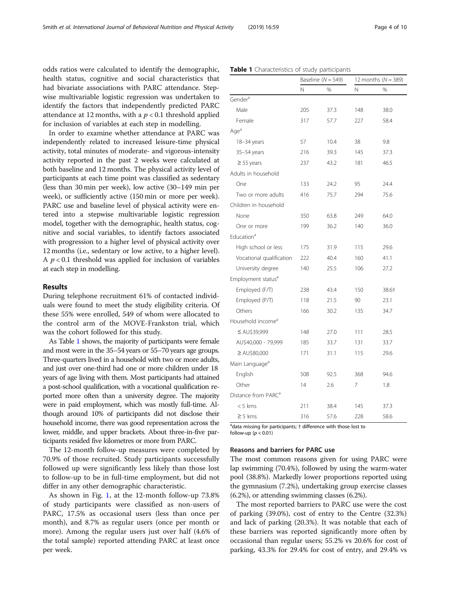odds ratios were calculated to identify the demographic, health status, cognitive and social characteristics that had bivariate associations with PARC attendance. Stepwise multivariable logistic regression was undertaken to identify the factors that independently predicted PARC attendance at 12 months, with a  $p < 0.1$  threshold applied for inclusion of variables at each step in modelling.

In order to examine whether attendance at PARC was independently related to increased leisure-time physical activity, total minutes of moderate- and vigorous-intensity activity reported in the past 2 weeks were calculated at both baseline and 12 months. The physical activity level of participants at each time point was classified as sedentary (less than 30 min per week), low active (30–149 min per week), or sufficiently active (150 min or more per week). PARC use and baseline level of physical activity were entered into a stepwise multivariable logistic regression model, together with the demographic, health status, cognitive and social variables, to identify factors associated with progression to a higher level of physical activity over 12 months (i.e., sedentary or low active, to a higher level). A  $p < 0.1$  threshold was applied for inclusion of variables at each step in modelling.

#### Results

During telephone recruitment 61% of contacted individuals were found to meet the study eligibility criteria. Of these 55% were enrolled, 549 of whom were allocated to the control arm of the MOVE-Frankston trial, which was the cohort followed for this study.

As Table 1 shows, the majority of participants were female and most were in the 35–54 years or 55–70 years age groups. Three-quarters lived in a household with two or more adults, and just over one-third had one or more children under 18 years of age living with them. Most participants had attained a post-school qualification, with a vocational qualification reported more often than a university degree. The majority were in paid employment, which was mostly full-time. Although around 10% of participants did not disclose their household income, there was good representation across the lower, middle, and upper brackets. About three-in-five participants resided five kilometres or more from PARC.

The 12-month follow-up measures were completed by 70.9% of those recruited. Study participants successfully followed up were significantly less likely than those lost to follow-up to be in full-time employment, but did not differ in any other demographic characteristic.

As shown in Fig. [1](#page-4-0), at the 12-month follow-up 73.8% of study participants were classified as non-users of PARC, 17.5% as occasional users (less than once per month), and 8.7% as regular users (once per month or more). Among the regular users just over half (4.6% of the total sample) reported attending PARC at least once per week.

|                                 | N   | %    | Ν   | $\%$  |
|---------------------------------|-----|------|-----|-------|
| Gender <sup>a</sup>             |     |      |     |       |
| Male                            | 205 | 37.3 | 148 | 38.0  |
| Female                          | 317 | 57.7 | 227 | 58.4  |
| Age <sup>a</sup>                |     |      |     |       |
| 18-34 years                     | 57  | 10.4 | 38  | 9.8   |
| $35-54$ years                   | 216 | 39.3 | 145 | 37.3  |
| $\geq$ 55 years                 | 237 | 43.2 | 181 | 46.5  |
| Adults in household             |     |      |     |       |
| One                             | 133 | 24.2 | 95  | 24.4  |
| Two or more adults              | 416 | 75.7 | 294 | 75.6  |
| Children in household           |     |      |     |       |
| None                            | 350 | 63.8 | 249 | 64.0  |
| One or more                     | 199 | 36.2 | 140 | 36.0  |
| Education <sup>a</sup>          |     |      |     |       |
| High school or less             | 175 | 31.9 | 115 | 29.6  |
| Vocational qualification        | 222 | 40.4 | 160 | 41.1  |
| University degree               | 140 | 25.5 | 106 | 27.2  |
| Employment status <sup>a</sup>  |     |      |     |       |
| Employed (F/T)                  | 238 | 43.4 | 150 | 38.6† |
| Employed (P/T)                  | 118 | 21.5 | 90  | 23.1  |
| Others                          | 166 | 30.2 | 135 | 34.7  |
| Household income <sup>a</sup>   |     |      |     |       |
| ≤ AU\$39,999                    | 148 | 27.0 | 111 | 28.5  |
| AU\$40,000 - 79,999             | 185 | 33.7 | 131 | 33.7  |
| ≥ AU\$80,000                    | 171 | 31.1 | 115 | 29.6  |
| Main Language <sup>a</sup>      |     |      |     |       |
| English                         | 508 | 92.5 | 368 | 94.6  |
| Other                           | 14  | 2.6  | 7   | 1.8   |
| Distance from PARC <sup>a</sup> |     |      |     |       |
| $< 5$ kms                       | 211 | 38.4 | 145 | 37.3  |
| $\geq$ 5 kms                    | 316 | 57.6 | 228 | 58.6  |

<sup>a</sup>data missing for participants; † difference with those lost to follow-up  $(p < 0.01)$ 

## Reasons and barriers for PARC use

The most common reasons given for using PARC were lap swimming (70.4%), followed by using the warm-water pool (38.8%). Markedly lower proportions reported using the gymnasium (7.2%), undertaking group exercise classes (6.2%), or attending swimming classes (6.2%).

The most reported barriers to PARC use were the cost of parking (39.0%), cost of entry to the Centre (32.3%) and lack of parking (20.3%). It was notable that each of these barriers was reported significantly more often by occasional than regular users; 55.2% vs 20.6% for cost of parking, 43.3% for 29.4% for cost of entry, and 29.4% vs

Baseline  $(N = 549)$  12 months  $(N = 389)$ 

#### Table 1 Characteristics of study participants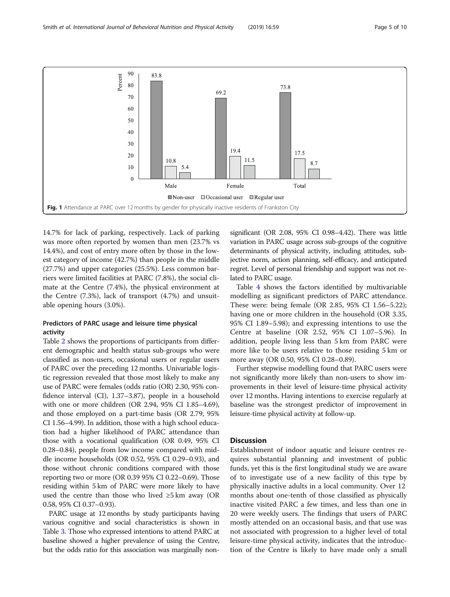<span id="page-4-0"></span>

14.7% for lack of parking, respectively. Lack of parking was more often reported by women than men (23.7% vs 14.4%), and cost of entry more often by those in the lowest category of income (42.7%) than people in the middle (27.7%) and upper categories (25.5%). Less common barriers were limited facilities at PARC (7.8%), the social climate at the Centre (7.4%), the physical environment at the Centre (7.3%), lack of transport (4.7%) and unsuitable opening hours (3.0%).

## Predictors of PARC usage and leisure time physical activity

Table [2](#page-5-0) shows the proportions of participants from different demographic and health status sub-groups who were classified as non-users, occasional users or regular users of PARC over the preceding 12 months. Univariable logistic regression revealed that those most likely to make any use of PARC were females (odds ratio (OR) 2.30, 95% confidence interval (CI), 1.37–3.87), people in a household with one or more children (OR 2.94, 95% CI 1.85–4.69), and those employed on a part-time basis (OR 2.79, 95% CI 1.56–4.99). In addition, those with a high school education had a higher likelihood of PARC attendance than those with a vocational qualification (OR 0.49, 95% CI 0.28–0.84), people from low income compared with middle income households (OR 0.52, 95% CI 0.29–0.93), and those without chronic conditions compared with those reporting two or more (OR 0.39 95% CI 0.22–0.69). Those residing within 5 km of PARC were more likely to have used the centre than those who lived ≥5 km away (OR 0.58, 95% CI 0.37–0.93).

PARC usage at 12 months by study participants having various cognitive and social characteristics is shown in Table [3](#page-6-0). Those who expressed intentions to attend PARC at baseline showed a higher prevalence of using the Centre, but the odds ratio for this association was marginally non-

significant (OR 2.08, 95% CI 0.98–4.42). There was little variation in PARC usage across sub-groups of the cognitive determinants of physical activity, including attitudes, subjective norm, action planning, self-efficacy, and anticipated regret. Level of personal friendship and support was not related to PARC usage.

Table [4](#page-6-0) shows the factors identified by multivariable modelling as significant predictors of PARC attendance. These were: being female (OR 2.85, 95% CI 1.56–5.22); having one or more children in the household (OR 3.35, 95% CI 1.89–5.98); and expressing intentions to use the Centre at baseline (OR 2.52, 95% CI 1.07–5.96). In addition, people living less than 5 km from PARC were more like to be users relative to those residing 5 km or more away (OR 0.50, 95% CI 0.28–0.89).

Further stepwise modelling found that PARC users were not significantly more likely than non-users to show improvements in their level of leisure-time physical activity over 12 months. Having intentions to exercise regularly at baseline was the strongest predictor of improvement in leisure-time physical activity at follow-up.

### **Discussion**

Establishment of indoor aquatic and leisure centres requires substantial planning and investment of public funds, yet this is the first longitudinal study we are aware of to investigate use of a new facility of this type by physically inactive adults in a local community. Over 12 months about one-tenth of those classified as physically inactive visited PARC a few times, and less than one in 20 were weekly users. The findings that users of PARC mostly attended on an occasional basis, and that use was not associated with progression to a higher level of total leisure-time physical activity, indicates that the introduction of the Centre is likely to have made only a small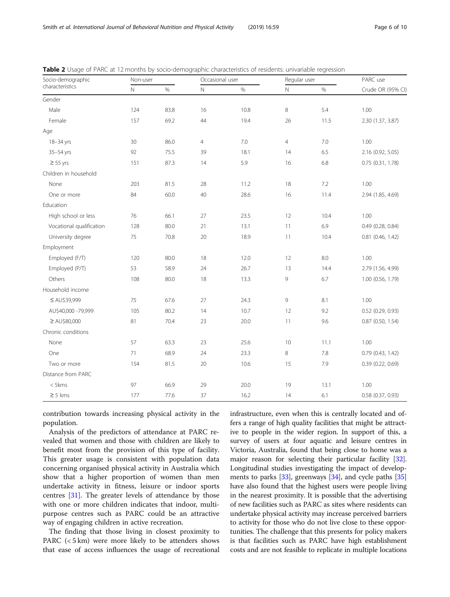| Socio-demographic<br>characteristics | Non-user     |      | Occasional user |      | Regular user   |      | PARC use              |  |
|--------------------------------------|--------------|------|-----------------|------|----------------|------|-----------------------|--|
|                                      | $\mathsf{N}$ | $\%$ | $\mathsf{N}$    | $\%$ | $\mathsf{N}$   | $\%$ | Crude OR (95% CI)     |  |
| Gender                               |              |      |                 |      |                |      |                       |  |
| Male                                 | 124          | 83.8 | 16              | 10.8 | 8              | 5.4  | 1.00                  |  |
| Female                               | 157          | 69.2 | 44              | 19.4 | 26             | 11.5 | 2.30 (1.37, 3.87)     |  |
| Age                                  |              |      |                 |      |                |      |                       |  |
| 18-34 yrs                            | 30           | 86.0 | 4               | 7.0  | $\overline{4}$ | 7.0  | 1.00                  |  |
| 35-54 yrs                            | 92           | 75.5 | 39              | 18.1 | 14             | 6.5  | 2.16 (0.92, 5.05)     |  |
| $\geq$ 55 yrs                        | 151          | 87.3 | 14              | 5.9  | 16             | 6.8  | 0.75(0.31, 1.78)      |  |
| Children in household                |              |      |                 |      |                |      |                       |  |
| None                                 | 203          | 81.5 | 28              | 11.2 | 18             | 7.2  | 1.00                  |  |
| One or more                          | 84           | 60.0 | 40              | 28.6 | 16             | 11.4 | 2.94 (1.85, 4.69)     |  |
| Education                            |              |      |                 |      |                |      |                       |  |
| High school or less                  | 76           | 66.1 | 27              | 23.5 | 12             | 10.4 | 1.00                  |  |
| Vocational qualification             | 128          | 80.0 | 21              | 13.1 | 11             | 6.9  | 0.49(0.28, 0.84)      |  |
| University degree                    | 75           | 70.8 | 20              | 18.9 | 11             | 10.4 | 0.81 (0.46, 1.42)     |  |
| Employment                           |              |      |                 |      |                |      |                       |  |
| Employed (F/T)                       | 120          | 80.0 | 18              | 12.0 | 12             | 8.0  | 1.00                  |  |
| Employed (P/T)                       | 53           | 58.9 | 24              | 26.7 | 13             | 14.4 | 2.79 (1.56, 4.99)     |  |
| Others                               | 108          | 80.0 | 18              | 13.3 | 9              | 6.7  | 1.00 (0.56, 1.79)     |  |
| Household income                     |              |      |                 |      |                |      |                       |  |
| $\leq$ AU\$39,999                    | 75           | 67.6 | 27              | 24.3 | 9              | 8.1  | 1.00                  |  |
| AU\$40,000 -79,999                   | 105          | 80.2 | 14              | 10.7 | 12             | 9.2  | $0.52$ (0.29, 0.93)   |  |
| $\geq$ AU\$80,000                    | 81           | 70.4 | 23              | 20.0 | 11             | 9.6  | $0.87$ (0.50, 1.54)   |  |
| Chronic conditions                   |              |      |                 |      |                |      |                       |  |
| None                                 | 57           | 63.3 | 23              | 25.6 | 10             | 11.1 | 1.00                  |  |
| One                                  | 71           | 68.9 | 24              | 23.3 | 8              | 7.8  | 0.79(0.43, 1.42)      |  |
| Two or more                          | 154          | 81.5 | 20              | 10.6 | 15             | 7.9  | 0.39 (0.22, 0.69)     |  |
| Distance from PARC                   |              |      |                 |      |                |      |                       |  |
| $<$ 5 kms                            | 97           | 66.9 | 29              | 20.0 | 19             | 13.1 | 1.00                  |  |
| $\geq$ 5 kms                         | 177          | 77.6 | 37              | 16.2 | 14             | 6.1  | $0.58$ $(0.37, 0.93)$ |  |

<span id="page-5-0"></span>Table 2 Usage of PARC at 12 months by socio-demographic characteristics of residents: univariable regression

contribution towards increasing physical activity in the population.

Analysis of the predictors of attendance at PARC revealed that women and those with children are likely to benefit most from the provision of this type of facility. This greater usage is consistent with population data concerning organised physical activity in Australia which show that a higher proportion of women than men undertake activity in fitness, leisure or indoor sports centres [[31](#page-8-0)]. The greater levels of attendance by those with one or more children indicates that indoor, multipurpose centres such as PARC could be an attractive way of engaging children in active recreation.

The finding that those living in closest proximity to PARC (< 5 km) were more likely to be attenders shows that ease of access influences the usage of recreational infrastructure, even when this is centrally located and offers a range of high quality facilities that might be attractive to people in the wider region. In support of this, a survey of users at four aquatic and leisure centres in Victoria, Australia, found that being close to home was a major reason for selecting their particular facility [[32](#page-8-0)]. Longitudinal studies investigating the impact of developments to parks [\[33](#page-8-0)], greenways [\[34\]](#page-8-0), and cycle paths [[35](#page-8-0)] have also found that the highest users were people living in the nearest proximity. It is possible that the advertising of new facilities such as PARC as sites where residents can undertake physical activity may increase perceived barriers to activity for those who do not live close to these opportunities. The challenge that this presents for policy makers is that facilities such as PARC have high establishment costs and are not feasible to replicate in multiple locations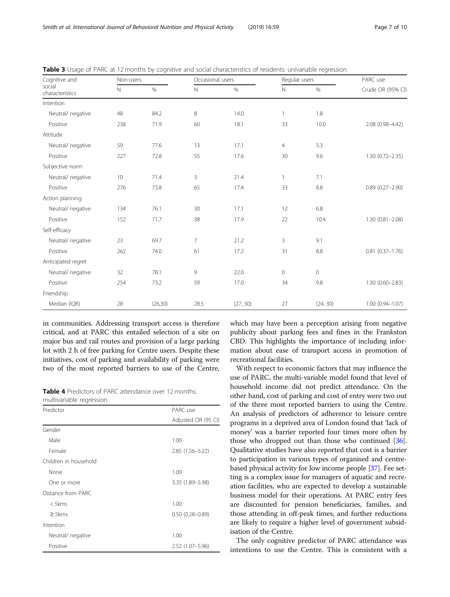| Cognitive and<br>social<br>characteristics |     | Non-users |                | Occasional users |              | Regular users | PARC use             |
|--------------------------------------------|-----|-----------|----------------|------------------|--------------|---------------|----------------------|
|                                            | N   | $\%$      | N              | $\%$             | $\mathsf{N}$ | $\%$          | Crude OR (95% CI)    |
| Intention                                  |     |           |                |                  |              |               |                      |
| Neutral/ negative                          | 48  | 84.2      | 8              | 14.0             | 1            | 1.8           |                      |
| Positive                                   | 238 | 71.9      | 60             | 18.1             | 33           | 10.0          | 2.08 (0.98-4.42)     |
| Attitude                                   |     |           |                |                  |              |               |                      |
| Neutral/ negative                          | 59  | 77.6      | 13             | 17.1             | 4            | 5.3           |                      |
| Positive                                   | 227 | 72.8      | 55             | 17.6             | 30           | 9.6           | $1.30(0.72 - 2.35)$  |
| Subjective norm                            |     |           |                |                  |              |               |                      |
| Neutral/ negative                          | 10  | 71.4      | 3              | 21.4             | 1            | 7.1           |                      |
| Positive                                   | 276 | 73.8      | 65             | 17.4             | 33           | 8.8           | $0.89(0.27 - 2.90)$  |
| Action planning                            |     |           |                |                  |              |               |                      |
| Neutral/ negative                          | 134 | 76.1      | 30             | 17.1             | 12           | 6.8           |                      |
| Positive                                   | 152 | 71.7      | 38             | 17.9             | 22           | 10.4          | $1.30(0.81 - 2.08)$  |
| Self-efficacy                              |     |           |                |                  |              |               |                      |
| Neutral/ negative                          | 23  | 69.7      | $\overline{7}$ | 21.2             | 3            | 9.1           |                      |
| Positive                                   | 262 | 74.0      | 61             | 17.2             | 31           | 8.8           | $0.81$ $(0.37-1.76)$ |
| Anticipated regret                         |     |           |                |                  |              |               |                      |
| Neutral/ negative                          | 32  | 78.1      | 9              | 22.0             | $\mathbf 0$  | $\mathbf 0$   |                      |
| Positive                                   | 254 | 73.2      | 59             | 17.0             | 34           | 9.8           | $1.30(0.60 - 2.83)$  |
| Friendship                                 |     |           |                |                  |              |               |                      |
| Median (IQR)                               | 28  | (26, 30)  | 28.5           | (27, 30)         | 27           | (24, 30)      | $1.00(0.94 - 1.07)$  |

<span id="page-6-0"></span>Table 3 Usage of PARC at 12 months by cognitive and social characteristics of residents: univariable regression

in communities. Addressing transport access is therefore critical, and at PARC this entailed selection of a site on major bus and rail routes and provision of a large parking lot with 2 h of free parking for Centre users. Despite these initiatives, cost of parking and availability of parking were two of the most reported barriers to use of the Centre,

Table 4 Predictors of PARC attendance over 12 months: multivariable regression

| Predictor             | PARC use            |
|-----------------------|---------------------|
|                       | Adjusted OR (95 CI) |
| Gender                |                     |
| Male                  | 1.00                |
| Female                | 2.85 (1.56-5.22)    |
| Children in household |                     |
| None                  | 1.00                |
| One or more           | 3.35 (1.89-5.98)    |
| Distance from PARC    |                     |
| < 5kms                | 1.00                |
| $\geq$ 5 kms          | $0.50(0.28 - 0.89)$ |
| Intention             |                     |
| Neutral/ negative     | 1.00                |
| Positive              | 2.52 (1.07-5.96)    |

which may have been a perception arising from negative publicity about parking fees and fines in the Frankston CBD. This highlights the importance of including information about ease of transport access in promotion of recreational facilities.

With respect to economic factors that may influence the use of PARC, the multi-variable model found that level of household income did not predict attendance. On the other hand, cost of parking and cost of entry were two out of the three most reported barriers to using the Centre. An analysis of predictors of adherence to leisure centre programs in a deprived area of London found that 'lack of money' was a barrier reported four times more often by those who dropped out than those who continued [[36](#page-8-0)]. Qualitative studies have also reported that cost is a barrier to participation in various types of organised and centrebased physical activity for low income people [[37](#page-8-0)]. Fee setting is a complex issue for managers of aquatic and recreation facilities, who are expected to develop a sustainable business model for their operations. At PARC entry fees are discounted for pension beneficiaries, families, and those attending in off-peak times, and further reductions are likely to require a higher level of government subsidisation of the Centre.

The only cognitive predictor of PARC attendance was intentions to use the Centre. This is consistent with a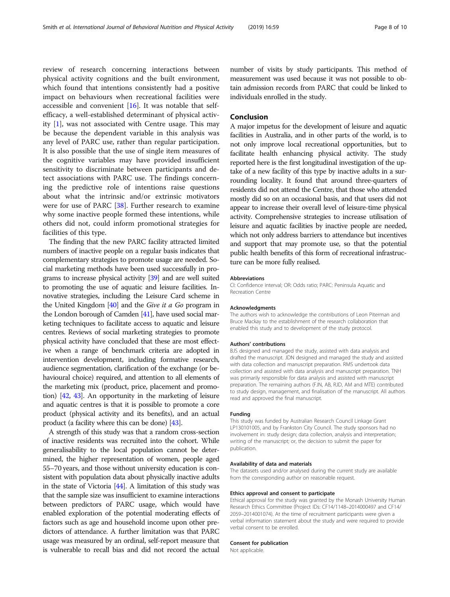review of research concerning interactions between physical activity cognitions and the built environment, which found that intentions consistently had a positive impact on behaviours when recreational facilities were accessible and convenient  $[16]$ . It was notable that selfefficacy, a well-established determinant of physical activity [[1\]](#page-8-0), was not associated with Centre usage. This may be because the dependent variable in this analysis was any level of PARC use, rather than regular participation. It is also possible that the use of single item measures of the cognitive variables may have provided insufficient sensitivity to discriminate between participants and detect associations with PARC use. The findings concerning the predictive role of intentions raise questions about what the intrinsic and/or extrinsic motivators were for use of PARC [\[38](#page-8-0)]. Further research to examine why some inactive people formed these intentions, while others did not, could inform promotional strategies for facilities of this type.

The finding that the new PARC facility attracted limited numbers of inactive people on a regular basis indicates that complementary strategies to promote usage are needed. Social marketing methods have been used successfully in programs to increase physical activity [\[39](#page-8-0)] and are well suited to promoting the use of aquatic and leisure facilities. Innovative strategies, including the Leisure Card scheme in the United Kingdom  $[40]$  $[40]$  and the *Give it a Go* program in the London borough of Camden [\[41\]](#page-8-0), have used social marketing techniques to facilitate access to aquatic and leisure centres. Reviews of social marketing strategies to promote physical activity have concluded that these are most effective when a range of benchmark criteria are adopted in intervention development, including formative research, audience segmentation, clarification of the exchange (or behavioural choice) required, and attention to all elements of the marketing mix (product, price, placement and promotion) [\[42,](#page-9-0) [43\]](#page-9-0). An opportunity in the marketing of leisure and aquatic centres is that it is possible to promote a core product (physical activity and its benefits), and an actual product (a facility where this can be done) [\[43\]](#page-9-0).

A strength of this study was that a random cross-section of inactive residents was recruited into the cohort. While generalisability to the local population cannot be determined, the higher representation of women, people aged 55–70 years, and those without university education is consistent with population data about physically inactive adults in the state of Victoria [[44\]](#page-9-0). A limitation of this study was that the sample size was insufficient to examine interactions between predictors of PARC usage, which would have enabled exploration of the potential moderating effects of factors such as age and household income upon other predictors of attendance. A further limitation was that PARC usage was measured by an ordinal, self-report measure that is vulnerable to recall bias and did not record the actual

number of visits by study participants. This method of measurement was used because it was not possible to obtain admission records from PARC that could be linked to individuals enrolled in the study.

#### Conclusion

A major impetus for the development of leisure and aquatic facilities in Australia, and in other parts of the world, is to not only improve local recreational opportunities, but to facilitate health enhancing physical activity. The study reported here is the first longitudinal investigation of the uptake of a new facility of this type by inactive adults in a surrounding locality. It found that around three-quarters of residents did not attend the Centre, that those who attended mostly did so on an occasional basis, and that users did not appear to increase their overall level of leisure-time physical activity. Comprehensive strategies to increase utilisation of leisure and aquatic facilities by inactive people are needed, which not only address barriers to attendance but incentives and support that may promote use, so that the potential public health benefits of this form of recreational infrastructure can be more fully realised.

#### Abbreviations

CI: Confidence interval; OR: Odds ratio; PARC: Peninsula Aquatic and Recreation Centre

#### Acknowledgments

The authors wish to acknowledge the contributions of Leon Piterman and Bruce Mackay to the establishment of the research collaboration that enabled this study and to development of the study protocol.

#### Authors' contributions

BJS designed and managed the study, assisted with data analysis and drafted the manuscript. JDN designed and managed the study and assisted with data collection and manuscript preparation. RMS undertook data collection and assisted with data analysis and manuscript preparation. TNH was primarily responsible for data analysis and assisted with manuscript preparation. The remaining authors (FJN, AB, RJD, AM and MTE) contributed to study design, management, and finalisation of the manuscript. All authors read and approved the final manuscript.

#### Funding

This study was funded by Australian Research Council Linkage Grant LP130101005, and by Frankston City Council. The study sponsors had no involvement in: study design; data collection, analysis and interpretation; writing of the manuscript; or, the decision to submit the paper for publication.

#### Availability of data and materials

The datasets used and/or analysed during the current study are available from the corresponding author on reasonable request.

#### Ethics approval and consent to participate

Ethical approval for the study was granted by the Monash University Human Research Ethics Committee (Project IDs: CF14/1148–2014000497 and CF14/ 2059–2014001074). At the time of recruitment participants were given a verbal information statement about the study and were required to provide verbal consent to be enrolled.

#### Consent for publication

Not applicable.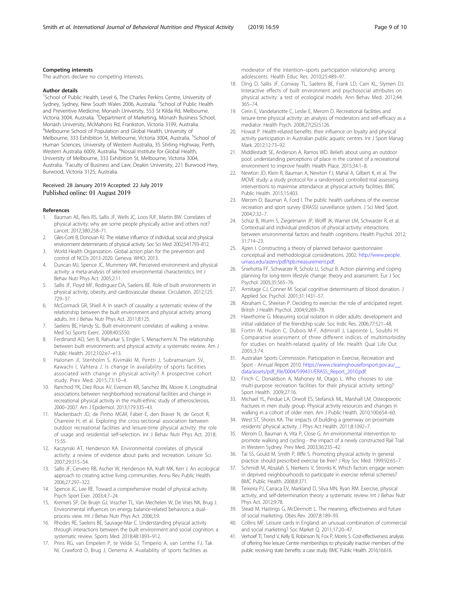#### <span id="page-8-0"></span>Competing interests

The authors declare no competing interests.

#### Author details

<sup>1</sup>School of Public Health, Level 6, The Charles Perkins Centre, University of Sydney, Sydney, New South Wales 2006, Australia. <sup>2</sup>School of Public Health and Preventive Medicine, Monash University, 553 St Kilda Rd, Melbourne, Victoria 3004, Australia. <sup>3</sup>Department of Marketing, Monash Business School, Monash University, McMahons Rd, Frankston, Victoria 3199, Australia. <sup>4</sup>Melbourne School of Population and Global Health, University of Melbourne, 333 Exhibition St, Melbourne, Victoria 3004, Australia. <sup>5</sup>School of Human Sciences, University of Western Australia, 35 Stirling Highway, Perth, Western Australia 6009, Australia. <sup>6</sup>Nossal Institute for Global Health, University of Melbourne, 333 Exhibition St, Melbourne, Victoria 3004, Australia. <sup>7</sup>Faculty of Business and Law, Deakin University, 221 Burwood Hwy, Burwood, Victoria 3125, Australia.

#### Received: 28 January 2019 Accepted: 22 July 2019 Published online: 01 August 2019

#### References

- 1. Bauman AE, Reis RS, Sallis JF, Wells JC, Loos RJF, Martin BW. Correlates of physical activity: why are some people physically active and others not? Lancet. 2012;380:258–71.
- 2. Giles-Corti B, Donovan RJ. The relative influence of individual, social and physical environment determinants of physical activity. Soc Sci Med. 2002;54:1793–812.
- 3. World Health Organization. Global action plan for the prevention and control of NCDs 2013-2020. Geneva: WHO; 2013.
- 4. Duncan MJ, Spence JC, Mummery WK. Perceived environment and physical activity: a meta-analysis of selected environmental characteristics. Int J Behav Nutr Phys Act. 2005;2:11.
- 5. Sallis JF, Floyd MF, Rodriguez DA, Saelens BE. Role of built environments in physical activity, obesity, and cardiovascular disease. Circulation. 2012;125: 729–37.
- 6. McCormack GR, Shiell A. In search of causality: a systematic review of the relationship between the built environment and physical activity among adults. Int J Behav Nutr Phys Act. 2011;8:125.
- 7. Saelens BE, Handy SL. Built environment correlates of walking: a review. Med Sci Sports Exerc. 2008;40:S550.
- 8. Ferdinand AO, Sen B, Rahurkar S, Engler S, Menachemi N. The relationship between built environments and physical activity: a systematic review. Am J Public Health. 2012;102:e7–e13.
- 9. Halonen JI, Stenholm S, Kivimäki M, Pentti J, Subramaniam SV, Kawachi I, Vahtera J. Is change in availability of sports facilities associated with change in physical activity? A prospective cohort study. Prev Med. 2015;73:10–4.
- 10. Ranchod YK, Diez Roux AV, Evenson KR, Sanchez BN, Moore K. Longitudinal associations between neighborhood recreational facilities and change in recreational physical activity in the multi-ethnic study of atherosclerosis, 2000–2007. Am J Epidemiol. 2013;179:335–43.
- 11. Mackenbach JD, de Pinho MGM, Faber E, den Braver N, de Groot R, Charreire H, et al. Exploring the cross-sectional association between outdoor recreational facilities and leisure-time physical activity: the role of usage and residential self-selection. Int J Behav Nutr Phys Act. 2018; 15:55.
- 12. Kaczynski AT, Henderson KA. Environmental correlates of physical activity: a review of evidence about parks and recreation. Leisure Sci. 2007;29:315–54.
- 13. Sallis JF, Cervero RB, Ascher W, Henderson KA, Kraft MK, Kerr J. An ecological approach to creating active living communities. Annu Rev Public Health. 2006;27:297–322.
- 14. Spence JC, Lee RE. Toward a comprehensive model of physical activity. Psych Sport Exer. 2003;4:7–24.
- 15. Kremers SP, De Bruijn GJ, Visscher TL, Van Mechelen W, De Vries NK, Brug J. Environmental influences on energy balance-related behaviors: a dualprocess view. Int J Behav Nutr Phys Act. 2006;3:9.
- 16. Rhodes RE, Saelens BE, Sauvage-Mar C. Understanding physical activity through interactions between the built environment and social cognition: a systematic review. Sports Med. 2018;48:1893–912.
- 17. Prins RG, van Empelen P, te Velde SJ, Timperio A, van Lenthe FJ, Tak NI, Crawford D, Brug J, Oenema A. Availability of sports facilities as

moderator of the intention–sports participation relationship among adolescents. Health Educ Res. 2010;25:489–97.

- 18. Ding D, Sallis JF, Conway TL, Saelens BE, Frank LD, Cain KL, Slymen DJ. Interactive effects of built environment and psychosocial attributes on physical activity: a test of ecological models. Ann Behav Med. 2012;44: 365–74.
- 19. Cerin E, Vandelanotte C, Leslie E, Merom D. Recreational facilities and leisure-time physical activity: an analysis of moderators and self-efficacy as a mediator. Health Psych. 2008;27(2S):S126.
- 20. Howat P. Health-related benefits: their influence on loyalty and physical activity participation in Australian public aquatic centres. Int J Sport Manag Mark. 2012;12:73–92.
- 21. Middlestadt SE, Anderson A, Ramos WD. Beliefs about using an outdoor pool: understanding perceptions of place in the context of a recreational environment to improve health. Health Place. 2015;34:1–8.
- 22. Newton JD, Klein R, Bauman A, Newton FJ, Mahal A, Gilbert K, et al. The MOVE study: a study protocol for a randomised controlled trial assessing interventions to maximise attendance at physical activity facilities. BMC Public Health. 2015;15:403.
- 23. Merom D, Bauman A, Ford I. The public health usefulness of the exercise recreation and sport survey (ERASS) surveillance system. J Sci Med Sport. 2004;7:32–7.
- 24. Schüz B, Wurm S, Ziegelmann JP, Wolff JK, Warner LM, Schwarzer R, et al. Contextual and individual predictors of physical activity: interactions between environmental factors and health cognitions. Health Psychol. 2012; 31:714–23.
- 25. Ajzen I. Constructing a theory of planned behavior questionnaire: conceptual and methodological considerations. 2002. [http://www.people.](http://www.people.umass.edu/aizen/pdf/tpb.measurement.pdf) [umass.edu/aizen/pdf/tpb.measurement.pdf](http://www.people.umass.edu/aizen/pdf/tpb.measurement.pdf).
- 26. Sniehotta FF, Schwarzer R, Scholz U, Schuz B. Action planning and coping planning for long-term lifestyle change: theory and assessment. Eur J Soc Psychol. 2005;35:565–76.
- 27. Armitage CJ, Conner M. Social cognitive determinants of blood donation. J Applied Soc Psychol. 2001;31:1431–57.
- 28. Abraham C, Sheeran P, Deciding to exercise: the role of anticipated regret. British J Health Psychol. 2004;9:269–78.
- 29. Hawthorne G. Measuring social isolation in older adults: development and initial validation of the friendship scale. Soc Indic Res. 2006;77:521–48.
- 30. Fortin M, Hudon C, Dubois M-F, Admirall J, Lapointe L, Soubhi H. Comparative assessment of three different indices of multimorbidity for studies on health-related quality of life. Health Qual Life Out. 2005;3:74.
- 31. Australian Sports Commission. Participation in Exercise, Recreation and Sport - Annual Report 2010. https://www.clearinghouseforsport.gov.au/ [data/assets/pdf\\_file/0004/599431/ERASS\\_Report\\_2010.pdf](https://www.clearinghouseforsport.gov.au/__data/assets/pdf_file/0004/599431/ERASS_Report_2010.pdf).
- 32. Finch C, Donaldson A, Mahoney M, Otago L. Who chooses to use multi-purpose recreation facilities for their physical activity setting? Sport Health. 2009;27:16.
- 33. Michael YL, Perdue LA, Orwoll ES, Stefanick ML, Marshall LM. Osteoporotic fractures in men study group. Physical activity resources and changes in walking in a cohort of older men. Am J Public Health. 2010;100:654–60.
- 34. West ST, Shores KA. The impacts of building a greenway on proximate residents' physical activity. J Phys Act Health. 2011;8:1092–7.
- 35. Merom D, Bauman A, Vita P, Close G. An environmental intervention to promote walking and cycling - the impact of a newly constructed Rail Trail in Western Sydney. Prev Med. 2003;36:235–42.
- 36. Tai SS, Gould M, Smith P, Iliffe S. Promoting physical activity in general practice: should prescribed exercise be free? J Roy Soc Med. 1999;92:65–7.
- 37. Schmidt M, Absalah S, Nierkens V, Stronks K. Which factors engage women in deprived neighbourhoods to participate in exercise referral schemes? BMC Public Health. 2008;8:371.
- 38. Teixeira PJ, Carraca EV, Markland D, Silva MN, Ryan RM. Exercise, physical activity, and self-determination theory: a systematic review. Int J Behav Nutr Phys Act. 2012;9:78.
- 39. Stead M, Hastings G, McDermott L. The meaning, effectiveness and future of social marketing. Obes Rev. 2007;8:189–93.
- 40. Collins MF. Leisure cards in England: an unusual combination of commercial and social marketing? Soc Market Q. 2011;17:20–47.
- 41. Verhoef TI, Trend V, Kelly B, Robinson N, Fox P, Morris S. Cost-effectiveness analysis of offering free leisure Centre memberships to physically inactive members of the public receiving state benefits: a case study. BMC Public Health. 2016;16:616.